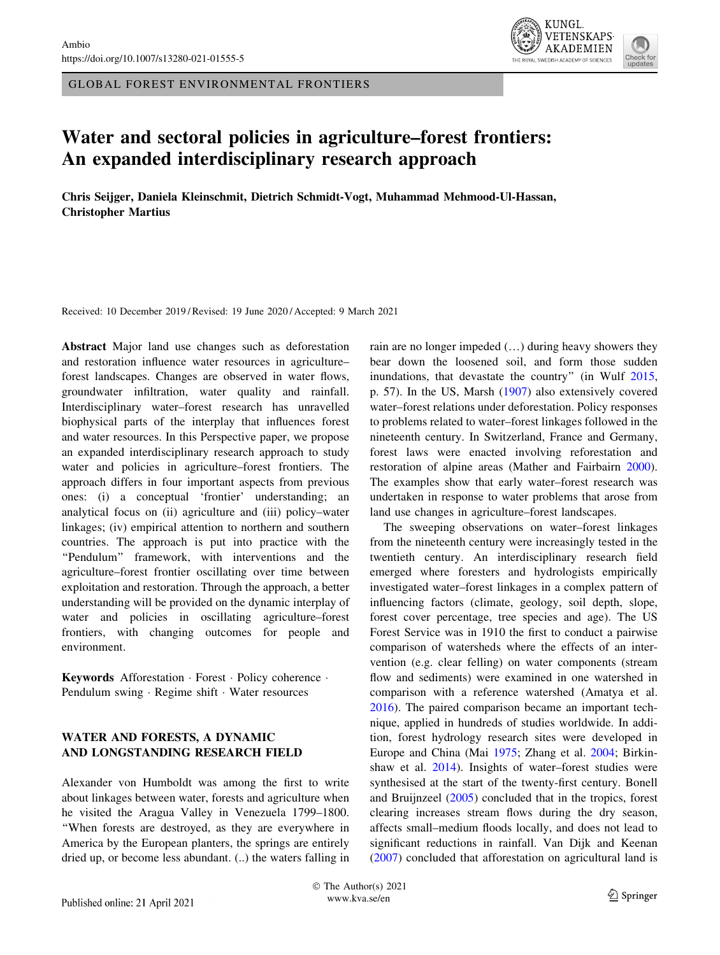GLOBAL FOREST ENVIRONMENTAL FRONTIERS



# Water and sectoral policies in agriculture–forest frontiers: An expanded interdisciplinary research approach

Chris Seijger, Daniela Kleinschmit, Dietrich Schmidt-Vogt, Muhammad Mehmood-Ul-Hassan, Christopher Martius

Received: 10 December 2019 / Revised: 19 June 2020 / Accepted: 9 March 2021

Abstract Major land use changes such as deforestation and restoration influence water resources in agriculture– forest landscapes. Changes are observed in water flows, groundwater infiltration, water quality and rainfall. Interdisciplinary water–forest research has unravelled biophysical parts of the interplay that influences forest and water resources. In this Perspective paper, we propose an expanded interdisciplinary research approach to study water and policies in agriculture–forest frontiers. The approach differs in four important aspects from previous ones: (i) a conceptual 'frontier' understanding; an analytical focus on (ii) agriculture and (iii) policy–water linkages; (iv) empirical attention to northern and southern countries. The approach is put into practice with the ''Pendulum'' framework, with interventions and the agriculture–forest frontier oscillating over time between exploitation and restoration. Through the approach, a better understanding will be provided on the dynamic interplay of water and policies in oscillating agriculture–forest frontiers, with changing outcomes for people and environment.

Keywords Afforestation - Forest - Policy coherence - Pendulum swing · Regime shift · Water resources

# WATER AND FORESTS, A DYNAMIC AND LONGSTANDING RESEARCH FIELD

Alexander von Humboldt was among the first to write about linkages between water, forests and agriculture when he visited the Aragua Valley in Venezuela 1799–1800. ''When forests are destroyed, as they are everywhere in America by the European planters, the springs are entirely dried up, or become less abundant. (..) the waters falling in rain are no longer impeded (…) during heavy showers they bear down the loosened soil, and form those sudden inundations, that devastate the country'' (in Wulf [2015,](#page-10-0) p. 57). In the US, Marsh [\(1907](#page-9-0)) also extensively covered water–forest relations under deforestation. Policy responses to problems related to water–forest linkages followed in the nineteenth century. In Switzerland, France and Germany, forest laws were enacted involving reforestation and restoration of alpine areas (Mather and Fairbairn [2000](#page-9-0)). The examples show that early water–forest research was undertaken in response to water problems that arose from land use changes in agriculture–forest landscapes.

The sweeping observations on water–forest linkages from the nineteenth century were increasingly tested in the twentieth century. An interdisciplinary research field emerged where foresters and hydrologists empirically investigated water–forest linkages in a complex pattern of influencing factors (climate, geology, soil depth, slope, forest cover percentage, tree species and age). The US Forest Service was in 1910 the first to conduct a pairwise comparison of watersheds where the effects of an intervention (e.g. clear felling) on water components (stream flow and sediments) were examined in one watershed in comparison with a reference watershed (Amatya et al. [2016](#page-8-0)). The paired comparison became an important technique, applied in hundreds of studies worldwide. In addition, forest hydrology research sites were developed in Europe and China (Mai [1975](#page-9-0); Zhang et al. [2004;](#page-10-0) Birkinshaw et al. [2014\)](#page-8-0). Insights of water–forest studies were synthesised at the start of the twenty-first century. Bonell and Bruijnzeel [\(2005](#page-8-0)) concluded that in the tropics, forest clearing increases stream flows during the dry season, affects small–medium floods locally, and does not lead to significant reductions in rainfall. Van Dijk and Keenan [\(2007](#page-9-0)) concluded that afforestation on agricultural land is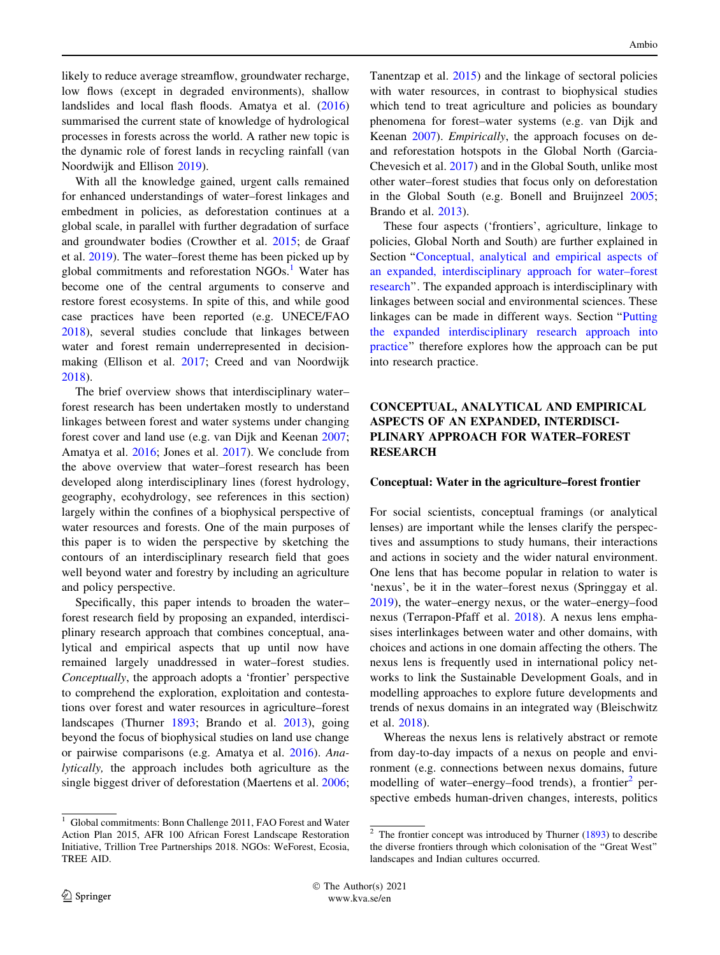likely to reduce average streamflow, groundwater recharge, low flows (except in degraded environments), shallow landslides and local flash floods. Amatya et al. ([2016\)](#page-8-0) summarised the current state of knowledge of hydrological processes in forests across the world. A rather new topic is the dynamic role of forest lands in recycling rainfall (van Noordwijk and Ellison [2019](#page-9-0)).

With all the knowledge gained, urgent calls remained for enhanced understandings of water–forest linkages and embedment in policies, as deforestation continues at a global scale, in parallel with further degradation of surface and groundwater bodies (Crowther et al. [2015;](#page-8-0) de Graaf et al. [2019](#page-8-0)). The water–forest theme has been picked up by global commitments and reforestation  $NGOs.1$  Water has become one of the central arguments to conserve and restore forest ecosystems. In spite of this, and while good case practices have been reported (e.g. UNECE/FAO [2018\)](#page-9-0), several studies conclude that linkages between water and forest remain underrepresented in decisionmaking (Ellison et al. [2017](#page-8-0); Creed and van Noordwijk [2018\)](#page-8-0).

The brief overview shows that interdisciplinary water– forest research has been undertaken mostly to understand linkages between forest and water systems under changing forest cover and land use (e.g. van Dijk and Keenan [2007](#page-9-0); Amatya et al. [2016](#page-8-0); Jones et al. [2017](#page-9-0)). We conclude from the above overview that water–forest research has been developed along interdisciplinary lines (forest hydrology, geography, ecohydrology, see references in this section) largely within the confines of a biophysical perspective of water resources and forests. One of the main purposes of this paper is to widen the perspective by sketching the contours of an interdisciplinary research field that goes well beyond water and forestry by including an agriculture and policy perspective.

Specifically, this paper intends to broaden the water– forest research field by proposing an expanded, interdisciplinary research approach that combines conceptual, analytical and empirical aspects that up until now have remained largely unaddressed in water–forest studies. Conceptually, the approach adopts a 'frontier' perspective to comprehend the exploration, exploitation and contestations over forest and water resources in agriculture–forest landscapes (Thurner [1893;](#page-9-0) Brando et al. [2013\)](#page-8-0), going beyond the focus of biophysical studies on land use change or pairwise comparisons (e.g. Amatya et al. [2016\)](#page-8-0). Analytically, the approach includes both agriculture as the single biggest driver of deforestation (Maertens et al. [2006](#page-9-0);

 $\frac{1}{1}$  Global commitments: Bonn Challenge 2011, FAO Forest and Water Action Plan 2015, AFR 100 African Forest Landscape Restoration Initiative, Trillion Tree Partnerships 2018. NGOs: WeForest, Ecosia, TREE AID.

Tanentzap et al. [2015\)](#page-9-0) and the linkage of sectoral policies with water resources, in contrast to biophysical studies which tend to treat agriculture and policies as boundary phenomena for forest–water systems (e.g. van Dijk and Keenan [2007](#page-9-0)). Empirically, the approach focuses on deand reforestation hotspots in the Global North (Garcia-Chevesich et al. [2017](#page-8-0)) and in the Global South, unlike most other water–forest studies that focus only on deforestation in the Global South (e.g. Bonell and Bruijnzeel [2005](#page-8-0); Brando et al. [2013\)](#page-8-0).

These four aspects ('frontiers', agriculture, linkage to policies, Global North and South) are further explained in Section "Conceptual, analytical and empirical aspects of an expanded, interdisciplinary approach for water–forest research''. The expanded approach is interdisciplinary with linkages between social and environmental sciences. These linkages can be made in different ways. Section '['Putting](#page-4-0) [the expanded interdisciplinary research approach into](#page-4-0) [practice'](#page-4-0)' therefore explores how the approach can be put into research practice.

# CONCEPTUAL, ANALYTICAL AND EMPIRICAL ASPECTS OF AN EXPANDED, INTERDISCI-PLINARY APPROACH FOR WATER–FOREST RESEARCH

#### Conceptual: Water in the agriculture–forest frontier

For social scientists, conceptual framings (or analytical lenses) are important while the lenses clarify the perspectives and assumptions to study humans, their interactions and actions in society and the wider natural environment. One lens that has become popular in relation to water is 'nexus', be it in the water–forest nexus (Springgay et al. [2019](#page-9-0)), the water–energy nexus, or the water–energy–food nexus (Terrapon-Pfaff et al. [2018\)](#page-9-0). A nexus lens emphasises interlinkages between water and other domains, with choices and actions in one domain affecting the others. The nexus lens is frequently used in international policy networks to link the Sustainable Development Goals, and in modelling approaches to explore future developments and trends of nexus domains in an integrated way (Bleischwitz et al. [2018\)](#page-8-0).

Whereas the nexus lens is relatively abstract or remote from day-to-day impacts of a nexus on people and environment (e.g. connections between nexus domains, future modelling of water–energy–food trends), a frontier<sup>2</sup> perspective embeds human-driven changes, interests, politics

 $2$  The frontier concept was introduced by Thurner [\(1893](#page-9-0)) to describe the diverse frontiers through which colonisation of the ''Great West'' landscapes and Indian cultures occurred.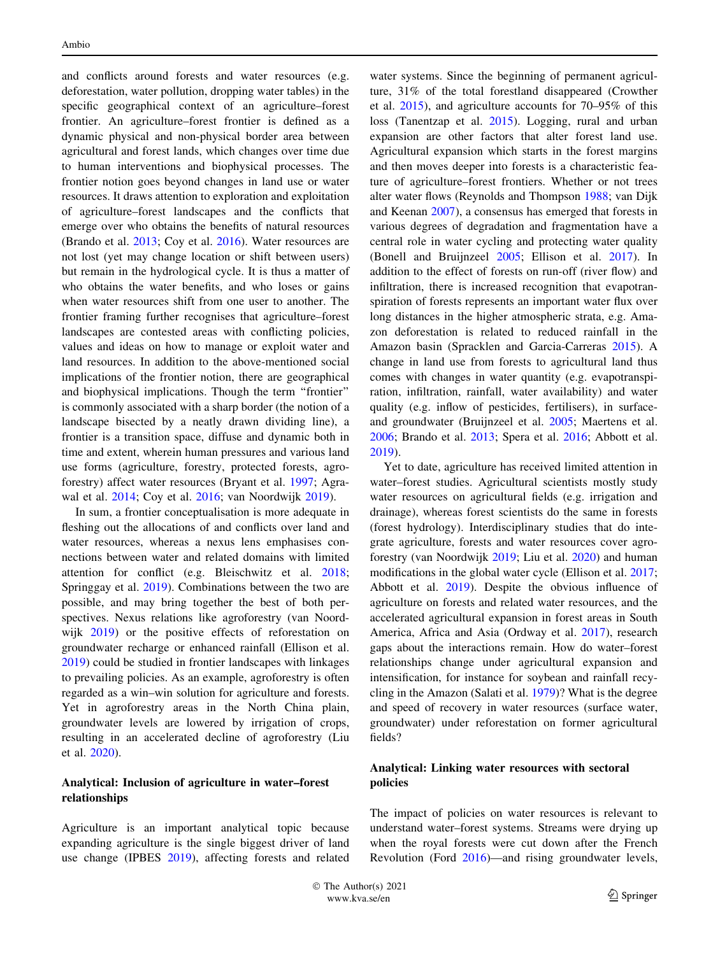and conflicts around forests and water resources (e.g. deforestation, water pollution, dropping water tables) in the specific geographical context of an agriculture–forest frontier. An agriculture–forest frontier is defined as a dynamic physical and non-physical border area between agricultural and forest lands, which changes over time due to human interventions and biophysical processes. The frontier notion goes beyond changes in land use or water resources. It draws attention to exploration and exploitation of agriculture–forest landscapes and the conflicts that emerge over who obtains the benefits of natural resources (Brando et al. [2013](#page-8-0); Coy et al. [2016](#page-8-0)). Water resources are not lost (yet may change location or shift between users) but remain in the hydrological cycle. It is thus a matter of who obtains the water benefits, and who loses or gains when water resources shift from one user to another. The frontier framing further recognises that agriculture–forest landscapes are contested areas with conflicting policies, values and ideas on how to manage or exploit water and land resources. In addition to the above-mentioned social implications of the frontier notion, there are geographical and biophysical implications. Though the term ''frontier'' is commonly associated with a sharp border (the notion of a landscape bisected by a neatly drawn dividing line), a frontier is a transition space, diffuse and dynamic both in time and extent, wherein human pressures and various land use forms (agriculture, forestry, protected forests, agroforestry) affect water resources (Bryant et al. [1997;](#page-8-0) Agrawal et al. [2014](#page-7-0); Coy et al. [2016](#page-8-0); van Noordwijk [2019\)](#page-9-0).

In sum, a frontier conceptualisation is more adequate in fleshing out the allocations of and conflicts over land and water resources, whereas a nexus lens emphasises connections between water and related domains with limited attention for conflict (e.g. Bleischwitz et al. [2018](#page-8-0); Springgay et al. [2019\)](#page-9-0). Combinations between the two are possible, and may bring together the best of both perspectives. Nexus relations like agroforestry (van Noordwijk [2019\)](#page-9-0) or the positive effects of reforestation on groundwater recharge or enhanced rainfall (Ellison et al. [2019\)](#page-8-0) could be studied in frontier landscapes with linkages to prevailing policies. As an example, agroforestry is often regarded as a win–win solution for agriculture and forests. Yet in agroforestry areas in the North China plain, groundwater levels are lowered by irrigation of crops, resulting in an accelerated decline of agroforestry (Liu et al. [2020\)](#page-9-0).

# Analytical: Inclusion of agriculture in water–forest relationships

Agriculture is an important analytical topic because expanding agriculture is the single biggest driver of land use change (IPBES [2019\)](#page-9-0), affecting forests and related

water systems. Since the beginning of permanent agriculture, 31% of the total forestland disappeared (Crowther et al. [2015\)](#page-8-0), and agriculture accounts for 70–95% of this loss (Tanentzap et al. [2015\)](#page-9-0). Logging, rural and urban expansion are other factors that alter forest land use. Agricultural expansion which starts in the forest margins and then moves deeper into forests is a characteristic feature of agriculture–forest frontiers. Whether or not trees alter water flows (Reynolds and Thompson [1988](#page-9-0); van Dijk and Keenan [2007\)](#page-9-0), a consensus has emerged that forests in various degrees of degradation and fragmentation have a central role in water cycling and protecting water quality (Bonell and Bruijnzeel [2005;](#page-8-0) Ellison et al. [2017\)](#page-8-0). In addition to the effect of forests on run-off (river flow) and infiltration, there is increased recognition that evapotranspiration of forests represents an important water flux over long distances in the higher atmospheric strata, e.g. Amazon deforestation is related to reduced rainfall in the Amazon basin (Spracklen and Garcia-Carreras [2015\)](#page-9-0). A change in land use from forests to agricultural land thus comes with changes in water quantity (e.g. evapotranspiration, infiltration, rainfall, water availability) and water quality (e.g. inflow of pesticides, fertilisers), in surfaceand groundwater (Bruijnzeel et al. [2005](#page-8-0); Maertens et al. [2006](#page-9-0); Brando et al. [2013](#page-8-0); Spera et al. [2016](#page-9-0); Abbott et al. [2019](#page-7-0)).

Yet to date, agriculture has received limited attention in water–forest studies. Agricultural scientists mostly study water resources on agricultural fields (e.g. irrigation and drainage), whereas forest scientists do the same in forests (forest hydrology). Interdisciplinary studies that do integrate agriculture, forests and water resources cover agroforestry (van Noordwijk [2019](#page-9-0); Liu et al. [2020](#page-9-0)) and human modifications in the global water cycle (Ellison et al. [2017](#page-8-0); Abbott et al. [2019\)](#page-7-0). Despite the obvious influence of agriculture on forests and related water resources, and the accelerated agricultural expansion in forest areas in South America, Africa and Asia (Ordway et al. [2017](#page-9-0)), research gaps about the interactions remain. How do water–forest relationships change under agricultural expansion and intensification, for instance for soybean and rainfall recycling in the Amazon (Salati et al. [1979\)](#page-9-0)? What is the degree and speed of recovery in water resources (surface water, groundwater) under reforestation on former agricultural fields?

#### Analytical: Linking water resources with sectoral policies

The impact of policies on water resources is relevant to understand water–forest systems. Streams were drying up when the royal forests were cut down after the French Revolution (Ford [2016\)](#page-8-0)—and rising groundwater levels,

© The Author(s) 2021 The Author(s) 2021<br>www.kva.se/en 1233 and 2021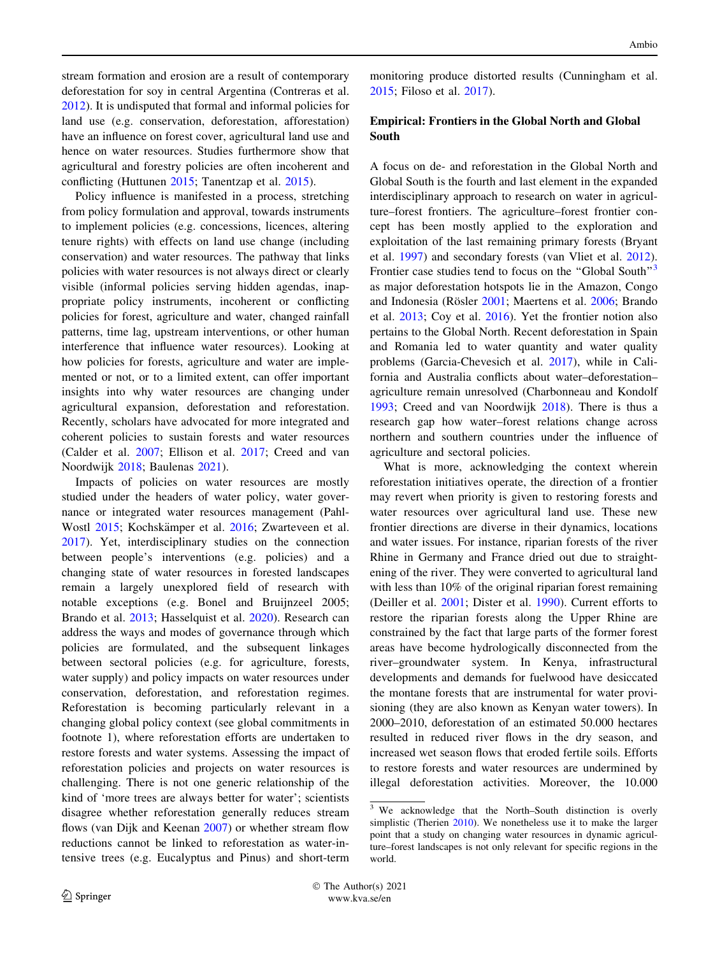stream formation and erosion are a result of contemporary deforestation for soy in central Argentina (Contreras et al. [2012\)](#page-8-0). It is undisputed that formal and informal policies for land use (e.g. conservation, deforestation, afforestation) have an influence on forest cover, agricultural land use and hence on water resources. Studies furthermore show that agricultural and forestry policies are often incoherent and conflicting (Huttunen [2015](#page-8-0); Tanentzap et al. [2015\)](#page-9-0).

Policy influence is manifested in a process, stretching from policy formulation and approval, towards instruments to implement policies (e.g. concessions, licences, altering tenure rights) with effects on land use change (including conservation) and water resources. The pathway that links policies with water resources is not always direct or clearly visible (informal policies serving hidden agendas, inappropriate policy instruments, incoherent or conflicting policies for forest, agriculture and water, changed rainfall patterns, time lag, upstream interventions, or other human interference that influence water resources). Looking at how policies for forests, agriculture and water are implemented or not, or to a limited extent, can offer important insights into why water resources are changing under agricultural expansion, deforestation and reforestation. Recently, scholars have advocated for more integrated and coherent policies to sustain forests and water resources (Calder et al. [2007](#page-8-0); Ellison et al. [2017](#page-8-0); Creed and van Noordwijk [2018;](#page-8-0) Baulenas [2021\)](#page-8-0).

Impacts of policies on water resources are mostly studied under the headers of water policy, water governance or integrated water resources management (Pahl-Wostl [2015;](#page-9-0) Kochskämper et al. [2016](#page-9-0); Zwarteveen et al. [2017\)](#page-10-0). Yet, interdisciplinary studies on the connection between people's interventions (e.g. policies) and a changing state of water resources in forested landscapes remain a largely unexplored field of research with notable exceptions (e.g. Bonel and Bruijnzeel 2005; Brando et al. [2013](#page-8-0); Hasselquist et al. [2020](#page-8-0)). Research can address the ways and modes of governance through which policies are formulated, and the subsequent linkages between sectoral policies (e.g. for agriculture, forests, water supply) and policy impacts on water resources under conservation, deforestation, and reforestation regimes. Reforestation is becoming particularly relevant in a changing global policy context (see global commitments in footnote 1), where reforestation efforts are undertaken to restore forests and water systems. Assessing the impact of reforestation policies and projects on water resources is challenging. There is not one generic relationship of the kind of 'more trees are always better for water'; scientists disagree whether reforestation generally reduces stream flows (van Dijk and Keenan [2007\)](#page-9-0) or whether stream flow reductions cannot be linked to reforestation as water-intensive trees (e.g. Eucalyptus and Pinus) and short-term

monitoring produce distorted results (Cunningham et al. [2015](#page-8-0); Filoso et al. [2017](#page-8-0)).

# Empirical: Frontiers in the Global North and Global South

A focus on de- and reforestation in the Global North and Global South is the fourth and last element in the expanded interdisciplinary approach to research on water in agriculture–forest frontiers. The agriculture–forest frontier concept has been mostly applied to the exploration and exploitation of the last remaining primary forests (Bryant et al. [1997](#page-8-0)) and secondary forests (van Vliet et al. [2012](#page-10-0)). Frontier case studies tend to focus on the "Global South"<sup>3</sup> as major deforestation hotspots lie in the Amazon, Congo and Indonesia (Rösler [2001;](#page-9-0) Maertens et al. [2006;](#page-9-0) Brando et al. [2013](#page-8-0); Coy et al. [2016\)](#page-8-0). Yet the frontier notion also pertains to the Global North. Recent deforestation in Spain and Romania led to water quantity and water quality problems (Garcia-Chevesich et al. [2017](#page-8-0)), while in California and Australia conflicts about water–deforestation– agriculture remain unresolved (Charbonneau and Kondolf [1993](#page-8-0); Creed and van Noordwijk [2018](#page-8-0)). There is thus a research gap how water–forest relations change across northern and southern countries under the influence of agriculture and sectoral policies.

What is more, acknowledging the context wherein reforestation initiatives operate, the direction of a frontier may revert when priority is given to restoring forests and water resources over agricultural land use. These new frontier directions are diverse in their dynamics, locations and water issues. For instance, riparian forests of the river Rhine in Germany and France dried out due to straightening of the river. They were converted to agricultural land with less than 10% of the original riparian forest remaining (Deiller et al. [2001;](#page-8-0) Dister et al. [1990](#page-8-0)). Current efforts to restore the riparian forests along the Upper Rhine are constrained by the fact that large parts of the former forest areas have become hydrologically disconnected from the river–groundwater system. In Kenya, infrastructural developments and demands for fuelwood have desiccated the montane forests that are instrumental for water provisioning (they are also known as Kenyan water towers). In 2000–2010, deforestation of an estimated 50.000 hectares resulted in reduced river flows in the dry season, and increased wet season flows that eroded fertile soils. Efforts to restore forests and water resources are undermined by illegal deforestation activities. Moreover, the 10.000

 $3$  We acknowledge that the North–South distinction is overly simplistic (Therien [2010\)](#page-9-0). We nonetheless use it to make the larger point that a study on changing water resources in dynamic agriculture–forest landscapes is not only relevant for specific regions in the world.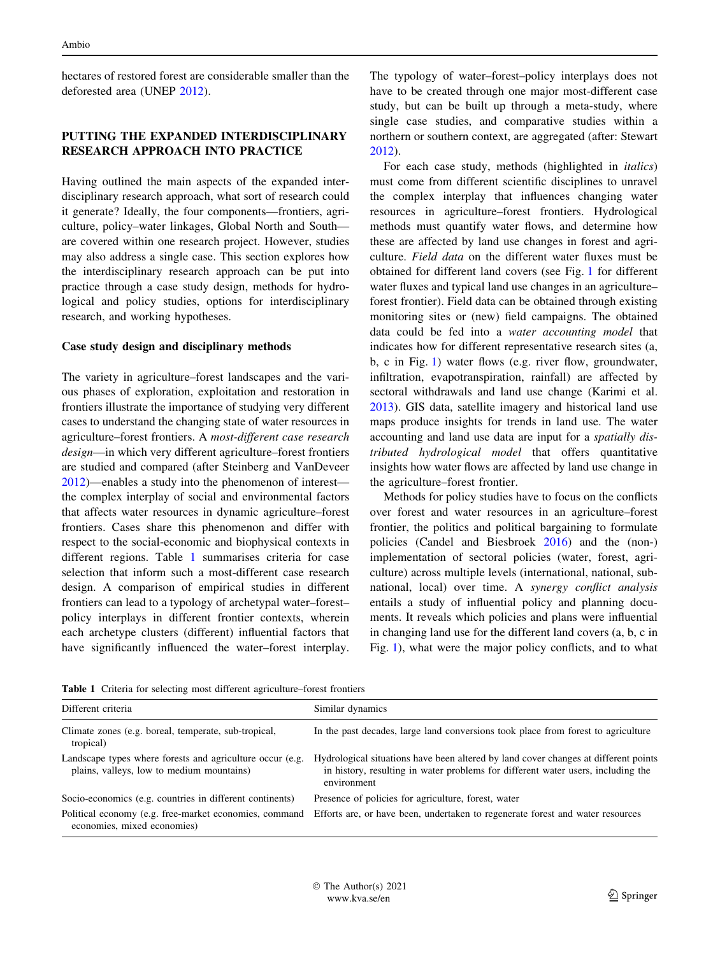<span id="page-4-0"></span>hectares of restored forest are considerable smaller than the deforested area (UNEP [2012\)](#page-9-0).

## PUTTING THE EXPANDED INTERDISCIPLINARY RESEARCH APPROACH INTO PRACTICE

Having outlined the main aspects of the expanded interdisciplinary research approach, what sort of research could it generate? Ideally, the four components—frontiers, agriculture, policy–water linkages, Global North and South are covered within one research project. However, studies may also address a single case. This section explores how the interdisciplinary research approach can be put into practice through a case study design, methods for hydrological and policy studies, options for interdisciplinary research, and working hypotheses.

#### Case study design and disciplinary methods

The variety in agriculture–forest landscapes and the various phases of exploration, exploitation and restoration in frontiers illustrate the importance of studying very different cases to understand the changing state of water resources in agriculture–forest frontiers. A most-different case research design—in which very different agriculture–forest frontiers are studied and compared (after Steinberg and VanDeveer [2012\)](#page-9-0)—enables a study into the phenomenon of interest the complex interplay of social and environmental factors that affects water resources in dynamic agriculture–forest frontiers. Cases share this phenomenon and differ with respect to the social-economic and biophysical contexts in different regions. Table 1 summarises criteria for case selection that inform such a most-different case research design. A comparison of empirical studies in different frontiers can lead to a typology of archetypal water–forest– policy interplays in different frontier contexts, wherein each archetype clusters (different) influential factors that have significantly influenced the water–forest interplay.

The typology of water–forest–policy interplays does not have to be created through one major most-different case study, but can be built up through a meta-study, where single case studies, and comparative studies within a northern or southern context, are aggregated (after: Stewart [2012](#page-9-0)).

For each case study, methods (highlighted in italics) must come from different scientific disciplines to unravel the complex interplay that influences changing water resources in agriculture–forest frontiers. Hydrological methods must quantify water flows, and determine how these are affected by land use changes in forest and agriculture. Field data on the different water fluxes must be obtained for different land covers (see Fig. [1](#page-5-0) for different water fluxes and typical land use changes in an agriculture– forest frontier). Field data can be obtained through existing monitoring sites or (new) field campaigns. The obtained data could be fed into a water accounting model that indicates how for different representative research sites (a, b, c in Fig. [1\)](#page-5-0) water flows (e.g. river flow, groundwater, infiltration, evapotranspiration, rainfall) are affected by sectoral withdrawals and land use change (Karimi et al. [2013](#page-9-0)). GIS data, satellite imagery and historical land use maps produce insights for trends in land use. The water accounting and land use data are input for a spatially distributed hydrological model that offers quantitative insights how water flows are affected by land use change in the agriculture–forest frontier.

Methods for policy studies have to focus on the conflicts over forest and water resources in an agriculture–forest frontier, the politics and political bargaining to formulate policies (Candel and Biesbroek [2016\)](#page-8-0) and the (non-) implementation of sectoral policies (water, forest, agriculture) across multiple levels (international, national, subnational, local) over time. A synergy conflict analysis entails a study of influential policy and planning documents. It reveals which policies and plans were influential in changing land use for the different land covers (a, b, c in Fig. [1](#page-5-0)), what were the major policy conflicts, and to what

Table 1 Criteria for selecting most different agriculture–forest frontiers

| Different criteria                                                                                     | Similar dynamics                                                                                                                                                                       |
|--------------------------------------------------------------------------------------------------------|----------------------------------------------------------------------------------------------------------------------------------------------------------------------------------------|
| Climate zones (e.g. boreal, temperate, sub-tropical,<br>tropical)                                      | In the past decades, large land conversions took place from forest to agriculture                                                                                                      |
| Landscape types where forests and agriculture occur (e.g.<br>plains, valleys, low to medium mountains) | Hydrological situations have been altered by land cover changes at different points<br>in history, resulting in water problems for different water users, including the<br>environment |
| Socio-economics (e.g. countries in different continents)                                               | Presence of policies for agriculture, forest, water                                                                                                                                    |
| Political economy (e.g. free-market economies, command<br>economies, mixed economies)                  | Efforts are, or have been, undertaken to regenerate forest and water resources                                                                                                         |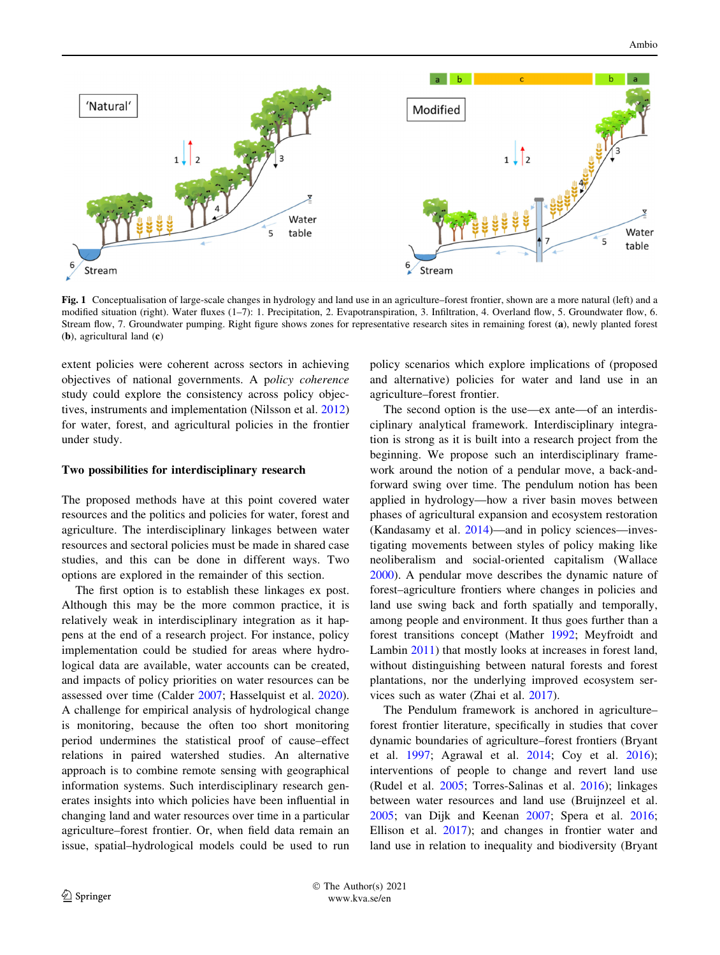<span id="page-5-0"></span>

Fig. 1 Conceptualisation of large-scale changes in hydrology and land use in an agriculture–forest frontier, shown are a more natural (left) and a modified situation (right). Water fluxes (1–7): 1. Precipitation, 2. Evapotranspiration, 3. Infiltration, 4. Overland flow, 5. Groundwater flow, 6. Stream flow, 7. Groundwater pumping. Right figure shows zones for representative research sites in remaining forest (a), newly planted forest (b), agricultural land (c)

extent policies were coherent across sectors in achieving objectives of national governments. A policy coherence study could explore the consistency across policy objectives, instruments and implementation (Nilsson et al. [2012\)](#page-9-0) for water, forest, and agricultural policies in the frontier under study.

#### Two possibilities for interdisciplinary research

The proposed methods have at this point covered water resources and the politics and policies for water, forest and agriculture. The interdisciplinary linkages between water resources and sectoral policies must be made in shared case studies, and this can be done in different ways. Two options are explored in the remainder of this section.

The first option is to establish these linkages ex post. Although this may be the more common practice, it is relatively weak in interdisciplinary integration as it happens at the end of a research project. For instance, policy implementation could be studied for areas where hydrological data are available, water accounts can be created, and impacts of policy priorities on water resources can be assessed over time (Calder [2007;](#page-8-0) Hasselquist et al. [2020](#page-8-0)). A challenge for empirical analysis of hydrological change is monitoring, because the often too short monitoring period undermines the statistical proof of cause–effect relations in paired watershed studies. An alternative approach is to combine remote sensing with geographical information systems. Such interdisciplinary research generates insights into which policies have been influential in changing land and water resources over time in a particular agriculture–forest frontier. Or, when field data remain an issue, spatial–hydrological models could be used to run policy scenarios which explore implications of (proposed and alternative) policies for water and land use in an agriculture–forest frontier.

The second option is the use—ex ante—of an interdisciplinary analytical framework. Interdisciplinary integration is strong as it is built into a research project from the beginning. We propose such an interdisciplinary framework around the notion of a pendular move, a back-andforward swing over time. The pendulum notion has been applied in hydrology—how a river basin moves between phases of agricultural expansion and ecosystem restoration (Kandasamy et al. [2014\)](#page-9-0)—and in policy sciences—investigating movements between styles of policy making like neoliberalism and social-oriented capitalism (Wallace [2000](#page-10-0)). A pendular move describes the dynamic nature of forest–agriculture frontiers where changes in policies and land use swing back and forth spatially and temporally, among people and environment. It thus goes further than a forest transitions concept (Mather [1992;](#page-9-0) Meyfroidt and Lambin [2011](#page-9-0)) that mostly looks at increases in forest land, without distinguishing between natural forests and forest plantations, nor the underlying improved ecosystem services such as water (Zhai et al. [2017\)](#page-10-0).

The Pendulum framework is anchored in agriculture– forest frontier literature, specifically in studies that cover dynamic boundaries of agriculture–forest frontiers (Bryant et al. [1997](#page-8-0); Agrawal et al. [2014;](#page-7-0) Coy et al. [2016](#page-8-0)); interventions of people to change and revert land use (Rudel et al. [2005;](#page-9-0) Torres-Salinas et al. [2016](#page-9-0)); linkages between water resources and land use (Bruijnzeel et al. [2005](#page-8-0); van Dijk and Keenan [2007](#page-9-0); Spera et al. [2016](#page-9-0); Ellison et al. [2017\)](#page-8-0); and changes in frontier water and land use in relation to inequality and biodiversity (Bryant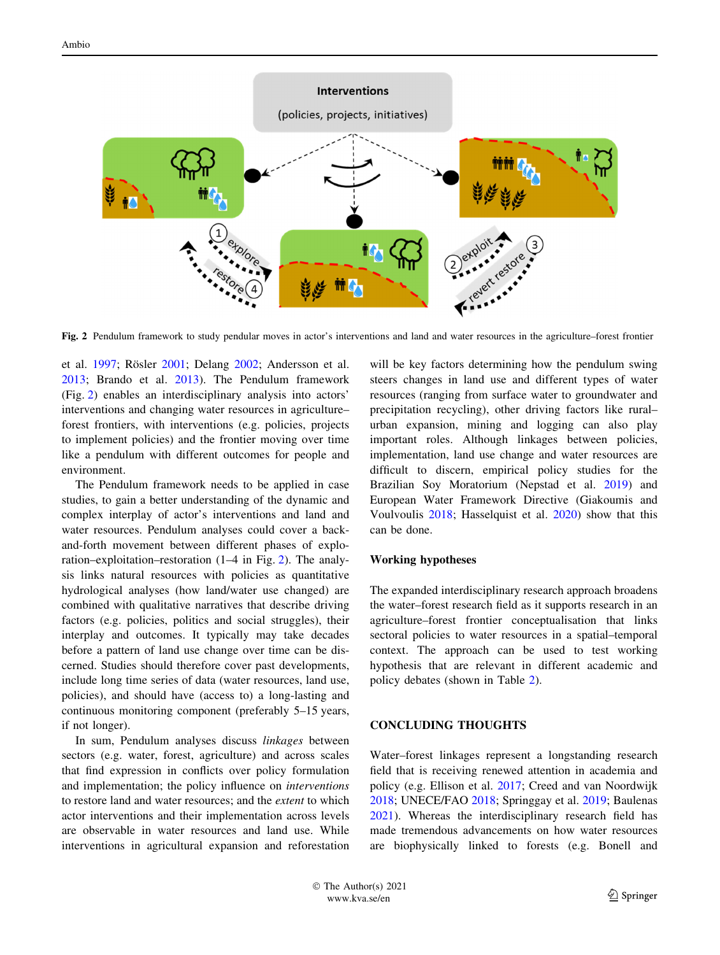# **Interventions** (policies, projects, initiatives)

Fig. 2 Pendulum framework to study pendular moves in actor's interventions and land and water resources in the agriculture–forest frontier

et al. [1997](#page-8-0); Rösler [2001;](#page-9-0) Delang [2002;](#page-8-0) Andersson et al. [2013;](#page-8-0) Brando et al. [2013\)](#page-8-0). The Pendulum framework (Fig. 2) enables an interdisciplinary analysis into actors' interventions and changing water resources in agriculture– forest frontiers, with interventions (e.g. policies, projects to implement policies) and the frontier moving over time like a pendulum with different outcomes for people and environment.

The Pendulum framework needs to be applied in case studies, to gain a better understanding of the dynamic and complex interplay of actor's interventions and land and water resources. Pendulum analyses could cover a backand-forth movement between different phases of exploration–exploitation–restoration (1–4 in Fig. 2). The analysis links natural resources with policies as quantitative hydrological analyses (how land/water use changed) are combined with qualitative narratives that describe driving factors (e.g. policies, politics and social struggles), their interplay and outcomes. It typically may take decades before a pattern of land use change over time can be discerned. Studies should therefore cover past developments, include long time series of data (water resources, land use, policies), and should have (access to) a long-lasting and continuous monitoring component (preferably 5–15 years, if not longer).

In sum, Pendulum analyses discuss linkages between sectors (e.g. water, forest, agriculture) and across scales that find expression in conflicts over policy formulation and implementation; the policy influence on interventions to restore land and water resources; and the extent to which actor interventions and their implementation across levels are observable in water resources and land use. While interventions in agricultural expansion and reforestation will be key factors determining how the pendulum swing steers changes in land use and different types of water resources (ranging from surface water to groundwater and precipitation recycling), other driving factors like rural– urban expansion, mining and logging can also play important roles. Although linkages between policies, implementation, land use change and water resources are difficult to discern, empirical policy studies for the Brazilian Soy Moratorium (Nepstad et al. [2019\)](#page-9-0) and European Water Framework Directive (Giakoumis and Voulvoulis [2018;](#page-8-0) Hasselquist et al. [2020\)](#page-8-0) show that this can be done.

#### Working hypotheses

The expanded interdisciplinary research approach broadens the water–forest research field as it supports research in an agriculture–forest frontier conceptualisation that links sectoral policies to water resources in a spatial–temporal context. The approach can be used to test working hypothesis that are relevant in different academic and policy debates (shown in Table [2\)](#page-7-0).

#### CONCLUDING THOUGHTS

Water–forest linkages represent a longstanding research field that is receiving renewed attention in academia and policy (e.g. Ellison et al. [2017;](#page-8-0) Creed and van Noordwijk [2018](#page-8-0); UNECE/FAO [2018](#page-9-0); Springgay et al. [2019](#page-9-0); Baulenas [2021](#page-8-0)). Whereas the interdisciplinary research field has made tremendous advancements on how water resources are biophysically linked to forests (e.g. Bonell and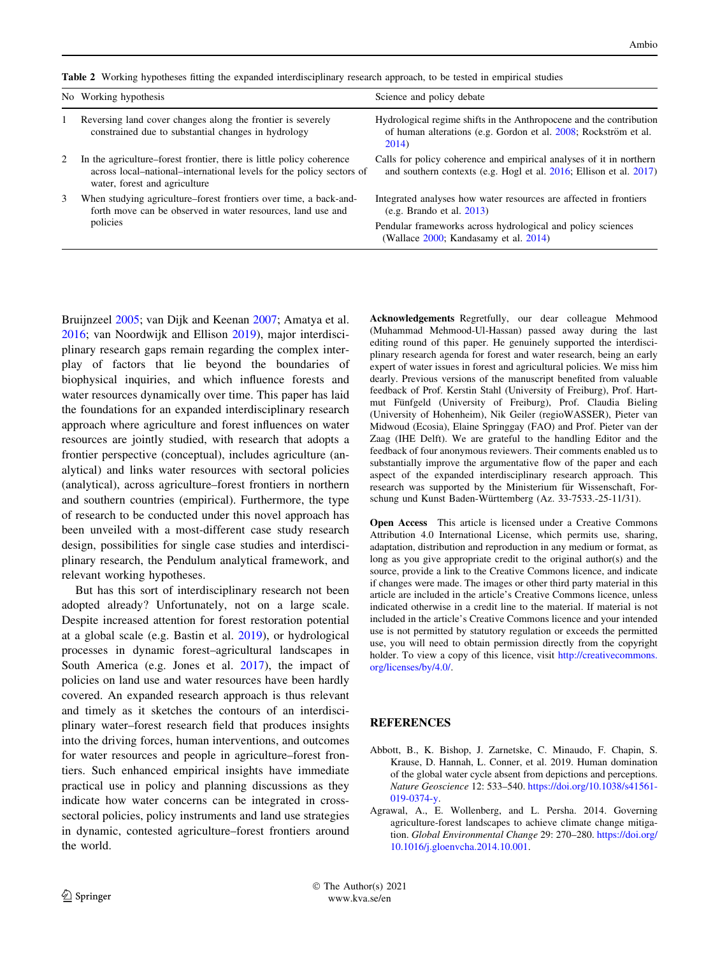<span id="page-7-0"></span>Table 2 Working hypotheses fitting the expanded interdisciplinary research approach, to be tested in empirical studies

|   | No Working hypothesis                                                                                                                                                         | Science and policy debate                                                                                                                       |
|---|-------------------------------------------------------------------------------------------------------------------------------------------------------------------------------|-------------------------------------------------------------------------------------------------------------------------------------------------|
|   | Reversing land cover changes along the frontier is severely<br>constrained due to substantial changes in hydrology                                                            | Hydrological regime shifts in the Anthropocene and the contribution<br>of human alterations (e.g. Gordon et al. 2008; Rockström et al.<br>2014) |
| 2 | In the agriculture–forest frontier, there is little policy coherence<br>across local-national-international levels for the policy sectors of<br>water, forest and agriculture | Calls for policy coherence and empirical analyses of it in northern<br>and southern contexts (e.g. Hogl et al. 2016; Ellison et al. 2017)       |
| 3 | When studying agriculture–forest frontiers over time, a back-and-<br>forth move can be observed in water resources, land use and<br>policies                                  | Integrated analyses how water resources are affected in frontiers<br>(e.g. Brando et al. 2013)                                                  |
|   |                                                                                                                                                                               | Pendular frameworks across hydrological and policy sciences<br>(Wallace 2000; Kandasamy et al. 2014)                                            |

Bruijnzeel [2005;](#page-8-0) van Dijk and Keenan [2007](#page-9-0); Amatya et al. [2016;](#page-8-0) van Noordwijk and Ellison [2019](#page-9-0)), major interdisciplinary research gaps remain regarding the complex interplay of factors that lie beyond the boundaries of biophysical inquiries, and which influence forests and water resources dynamically over time. This paper has laid the foundations for an expanded interdisciplinary research approach where agriculture and forest influences on water resources are jointly studied, with research that adopts a frontier perspective (conceptual), includes agriculture (analytical) and links water resources with sectoral policies (analytical), across agriculture–forest frontiers in northern and southern countries (empirical). Furthermore, the type of research to be conducted under this novel approach has been unveiled with a most-different case study research design, possibilities for single case studies and interdisciplinary research, the Pendulum analytical framework, and relevant working hypotheses.

But has this sort of interdisciplinary research not been adopted already? Unfortunately, not on a large scale. Despite increased attention for forest restoration potential at a global scale (e.g. Bastin et al. [2019](#page-8-0)), or hydrological processes in dynamic forest–agricultural landscapes in South America (e.g. Jones et al. [2017\)](#page-9-0), the impact of policies on land use and water resources have been hardly covered. An expanded research approach is thus relevant and timely as it sketches the contours of an interdisciplinary water–forest research field that produces insights into the driving forces, human interventions, and outcomes for water resources and people in agriculture–forest frontiers. Such enhanced empirical insights have immediate practical use in policy and planning discussions as they indicate how water concerns can be integrated in crosssectoral policies, policy instruments and land use strategies in dynamic, contested agriculture–forest frontiers around the world.

Acknowledgements Regretfully, our dear colleague Mehmood (Muhammad Mehmood-Ul-Hassan) passed away during the last editing round of this paper. He genuinely supported the interdisciplinary research agenda for forest and water research, being an early expert of water issues in forest and agricultural policies. We miss him dearly. Previous versions of the manuscript benefited from valuable feedback of Prof. Kerstin Stahl (University of Freiburg), Prof. Hartmut Fünfgeld (University of Freiburg), Prof. Claudia Bieling (University of Hohenheim), Nik Geiler (regioWASSER), Pieter van Midwoud (Ecosia), Elaine Springgay (FAO) and Prof. Pieter van der Zaag (IHE Delft). We are grateful to the handling Editor and the feedback of four anonymous reviewers. Their comments enabled us to substantially improve the argumentative flow of the paper and each aspect of the expanded interdisciplinary research approach. This research was supported by the Ministerium für Wissenschaft, Forschung und Kunst Baden-Württemberg (Az. 33-7533.-25-11/31).

Open Access This article is licensed under a Creative Commons Attribution 4.0 International License, which permits use, sharing, adaptation, distribution and reproduction in any medium or format, as long as you give appropriate credit to the original author(s) and the source, provide a link to the Creative Commons licence, and indicate if changes were made. The images or other third party material in this article are included in the article's Creative Commons licence, unless indicated otherwise in a credit line to the material. If material is not included in the article's Creative Commons licence and your intended use is not permitted by statutory regulation or exceeds the permitted use, you will need to obtain permission directly from the copyright holder. To view a copy of this licence, visit [http://creativecommons.](http://creativecommons.org/licenses/by/4.0/) [org/licenses/by/4.0/.](http://creativecommons.org/licenses/by/4.0/)

#### **REFERENCES**

- Abbott, B., K. Bishop, J. Zarnetske, C. Minaudo, F. Chapin, S. Krause, D. Hannah, L. Conner, et al. 2019. Human domination of the global water cycle absent from depictions and perceptions. Nature Geoscience 12: 533–540. [https://doi.org/10.1038/s41561-](https://doi.org/10.1038/s41561-019-0374-y) [019-0374-y.](https://doi.org/10.1038/s41561-019-0374-y)
- Agrawal, A., E. Wollenberg, and L. Persha. 2014. Governing agriculture-forest landscapes to achieve climate change mitigation. Global Environmental Change 29: 270–280. [https://doi.org/](https://doi.org/10.1016/j.gloenvcha.2014.10.001) [10.1016/j.gloenvcha.2014.10.001.](https://doi.org/10.1016/j.gloenvcha.2014.10.001)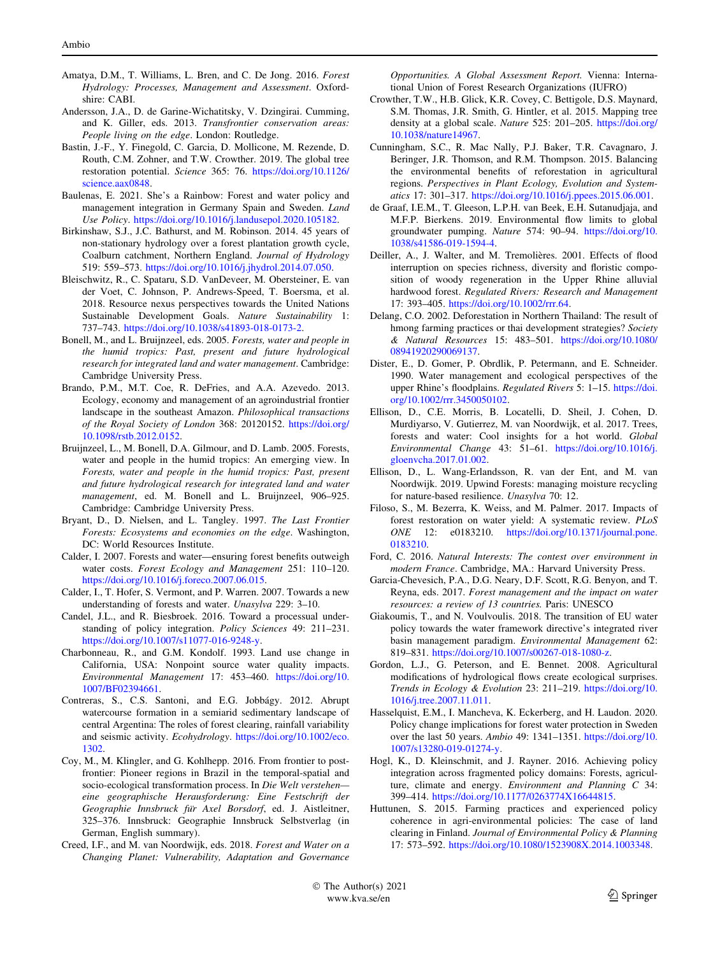- <span id="page-8-0"></span>Amatya, D.M., T. Williams, L. Bren, and C. De Jong. 2016. Forest Hydrology: Processes, Management and Assessment. Oxfordshire: CABI.
- Andersson, J.A., D. de Garine-Wichatitsky, V. Dzingirai. Cumming, and K. Giller, eds. 2013. Transfrontier conservation areas: People living on the edge. London: Routledge.
- Bastin, J.-F., Y. Finegold, C. Garcia, D. Mollicone, M. Rezende, D. Routh, C.M. Zohner, and T.W. Crowther. 2019. The global tree restoration potential. Science 365: 76. [https://doi.org/10.1126/](https://doi.org/10.1126/science.aax0848) [science.aax0848.](https://doi.org/10.1126/science.aax0848)
- Baulenas, E. 2021. She's a Rainbow: Forest and water policy and management integration in Germany Spain and Sweden. Land Use Policy. [https://doi.org/10.1016/j.landusepol.2020.105182.](https://doi.org/10.1016/j.landusepol.2020.105182)
- Birkinshaw, S.J., J.C. Bathurst, and M. Robinson. 2014. 45 years of non-stationary hydrology over a forest plantation growth cycle, Coalburn catchment, Northern England. Journal of Hydrology 519: 559–573. <https://doi.org/10.1016/j.jhydrol.2014.07.050>.
- Bleischwitz, R., C. Spataru, S.D. VanDeveer, M. Obersteiner, E. van der Voet, C. Johnson, P. Andrews-Speed, T. Boersma, et al. 2018. Resource nexus perspectives towards the United Nations Sustainable Development Goals. Nature Sustainability 1: 737–743. [https://doi.org/10.1038/s41893-018-0173-2.](https://doi.org/10.1038/s41893-018-0173-2)
- Bonell, M., and L. Bruijnzeel, eds. 2005. Forests, water and people in the humid tropics: Past, present and future hydrological research for integrated land and water management. Cambridge: Cambridge University Press.
- Brando, P.M., M.T. Coe, R. DeFries, and A.A. Azevedo. 2013. Ecology, economy and management of an agroindustrial frontier landscape in the southeast Amazon. Philosophical transactions of the Royal Society of London 368: 20120152. [https://doi.org/](https://doi.org/10.1098/rstb.2012.0152) [10.1098/rstb.2012.0152.](https://doi.org/10.1098/rstb.2012.0152)
- Bruijnzeel, L., M. Bonell, D.A. Gilmour, and D. Lamb. 2005. Forests, water and people in the humid tropics: An emerging view. In Forests, water and people in the humid tropics: Past, present and future hydrological research for integrated land and water management, ed. M. Bonell and L. Bruijnzeel, 906–925. Cambridge: Cambridge University Press.
- Bryant, D., D. Nielsen, and L. Tangley. 1997. The Last Frontier Forests: Ecosystems and economies on the edge. Washington, DC: World Resources Institute.
- Calder, I. 2007. Forests and water—ensuring forest benefits outweigh water costs. Forest Ecology and Management 251: 110–120. [https://doi.org/10.1016/j.foreco.2007.06.015.](https://doi.org/10.1016/j.foreco.2007.06.015)
- Calder, I., T. Hofer, S. Vermont, and P. Warren. 2007. Towards a new understanding of forests and water. Unasylva 229: 3–10.
- Candel, J.L., and R. Biesbroek. 2016. Toward a processual understanding of policy integration. Policy Sciences 49: 211–231. <https://doi.org/10.1007/s11077-016-9248-y>.
- Charbonneau, R., and G.M. Kondolf. 1993. Land use change in California, USA: Nonpoint source water quality impacts. Environmental Management 17: 453–460. [https://doi.org/10.](https://doi.org/10.1007/BF02394661) [1007/BF02394661.](https://doi.org/10.1007/BF02394661)
- Contreras, S., C.S. Santoni, and E.G. Jobbágy. 2012. Abrupt watercourse formation in a semiarid sedimentary landscape of central Argentina: The roles of forest clearing, rainfall variability and seismic activity. Ecohydrology. [https://doi.org/10.1002/eco.](https://doi.org/10.1002/eco.1302) [1302.](https://doi.org/10.1002/eco.1302)
- Coy, M., M. Klingler, and G. Kohlhepp. 2016. From frontier to postfrontier: Pioneer regions in Brazil in the temporal-spatial and socio-ecological transformation process. In Die Welt verstehen eine geographische Herausforderung: Eine Festschrift der Geographie Innsbruck für Axel Borsdorf, ed. J. Aistleitner, 325–376. Innsbruck: Geographie Innsbruck Selbstverlag (in German, English summary).
- Creed, I.F., and M. van Noordwijk, eds. 2018. Forest and Water on a Changing Planet: Vulnerability, Adaptation and Governance

Opportunities. A Global Assessment Report. Vienna: International Union of Forest Research Organizations (IUFRO)

- Crowther, T.W., H.B. Glick, K.R. Covey, C. Bettigole, D.S. Maynard, S.M. Thomas, J.R. Smith, G. Hintler, et al. 2015. Mapping tree density at a global scale. Nature 525: 201–205. [https://doi.org/](https://doi.org/10.1038/nature14967) [10.1038/nature14967](https://doi.org/10.1038/nature14967).
- Cunningham, S.C., R. Mac Nally, P.J. Baker, T.R. Cavagnaro, J. Beringer, J.R. Thomson, and R.M. Thompson. 2015. Balancing the environmental benefits of reforestation in agricultural regions. Perspectives in Plant Ecology, Evolution and Systematics 17: 301–317. [https://doi.org/10.1016/j.ppees.2015.06.001.](https://doi.org/10.1016/j.ppees.2015.06.001)
- de Graaf, I.E.M., T. Gleeson, L.P.H. van Beek, E.H. Sutanudjaja, and M.F.P. Bierkens. 2019. Environmental flow limits to global groundwater pumping. Nature 574: 90–94. [https://doi.org/10.](https://doi.org/10.1038/s41586-019-1594-4) [1038/s41586-019-1594-4](https://doi.org/10.1038/s41586-019-1594-4).
- Deiller, A., J. Walter, and M. Tremolières. 2001. Effects of flood interruption on species richness, diversity and floristic composition of woody regeneration in the Upper Rhine alluvial hardwood forest. Regulated Rivers: Research and Management 17: 393–405. [https://doi.org/10.1002/rrr.64.](https://doi.org/10.1002/rrr.64)
- Delang, C.O. 2002. Deforestation in Northern Thailand: The result of hmong farming practices or thai development strategies? Society & Natural Resources 15: 483–501. [https://doi.org/10.1080/](https://doi.org/10.1080/08941920290069137) [08941920290069137](https://doi.org/10.1080/08941920290069137).
- Dister, E., D. Gomer, P. Obrdlik, P. Petermann, and E. Schneider. 1990. Water management and ecological perspectives of the upper Rhine's floodplains. Regulated Rivers 5: 1-15. [https://doi.](https://doi.org/10.1002/rrr.3450050102) [org/10.1002/rrr.3450050102.](https://doi.org/10.1002/rrr.3450050102)
- Ellison, D., C.E. Morris, B. Locatelli, D. Sheil, J. Cohen, D. Murdiyarso, V. Gutierrez, M. van Noordwijk, et al. 2017. Trees, forests and water: Cool insights for a hot world. Global Environmental Change 43: 51–61. [https://doi.org/10.1016/j.](https://doi.org/10.1016/j.gloenvcha.2017.01.002) [gloenvcha.2017.01.002.](https://doi.org/10.1016/j.gloenvcha.2017.01.002)
- Ellison, D., L. Wang-Erlandsson, R. van der Ent, and M. van Noordwijk. 2019. Upwind Forests: managing moisture recycling for nature-based resilience. Unasylva 70: 12.
- Filoso, S., M. Bezerra, K. Weiss, and M. Palmer. 2017. Impacts of forest restoration on water yield: A systematic review. PLoS ONE 12: e0183210. [https://doi.org/10.1371/journal.pone.](https://doi.org/10.1371/journal.pone.0183210) [0183210.](https://doi.org/10.1371/journal.pone.0183210)
- Ford, C. 2016. Natural Interests: The contest over environment in modern France. Cambridge, MA.: Harvard University Press.
- Garcia-Chevesich, P.A., D.G. Neary, D.F. Scott, R.G. Benyon, and T. Reyna, eds. 2017. Forest management and the impact on water resources: a review of 13 countries. Paris: UNESCO
- Giakoumis, T., and N. Voulvoulis. 2018. The transition of EU water policy towards the water framework directive's integrated river basin management paradigm. Environmental Management 62: 819–831. <https://doi.org/10.1007/s00267-018-1080-z>.
- Gordon, L.J., G. Peterson, and E. Bennet. 2008. Agricultural modifications of hydrological flows create ecological surprises. Trends in Ecology & Evolution 23: 211–219. [https://doi.org/10.](https://doi.org/10.1016/j.tree.2007.11.011) [1016/j.tree.2007.11.011](https://doi.org/10.1016/j.tree.2007.11.011).
- Hasselquist, E.M., I. Mancheva, K. Eckerberg, and H. Laudon. 2020. Policy change implications for forest water protection in Sweden over the last 50 years. Ambio 49: 1341–1351. [https://doi.org/10.](https://doi.org/10.1007/s13280-019-01274-y) [1007/s13280-019-01274-y.](https://doi.org/10.1007/s13280-019-01274-y)
- Hogl, K., D. Kleinschmit, and J. Rayner. 2016. Achieving policy integration across fragmented policy domains: Forests, agriculture, climate and energy. Environment and Planning C 34: 399–414. [https://doi.org/10.1177/0263774X16644815.](https://doi.org/10.1177/0263774X16644815)
- Huttunen, S. 2015. Farming practices and experienced policy coherence in agri-environmental policies: The case of land clearing in Finland. Journal of Environmental Policy & Planning 17: 573–592. <https://doi.org/10.1080/1523908X.2014.1003348>.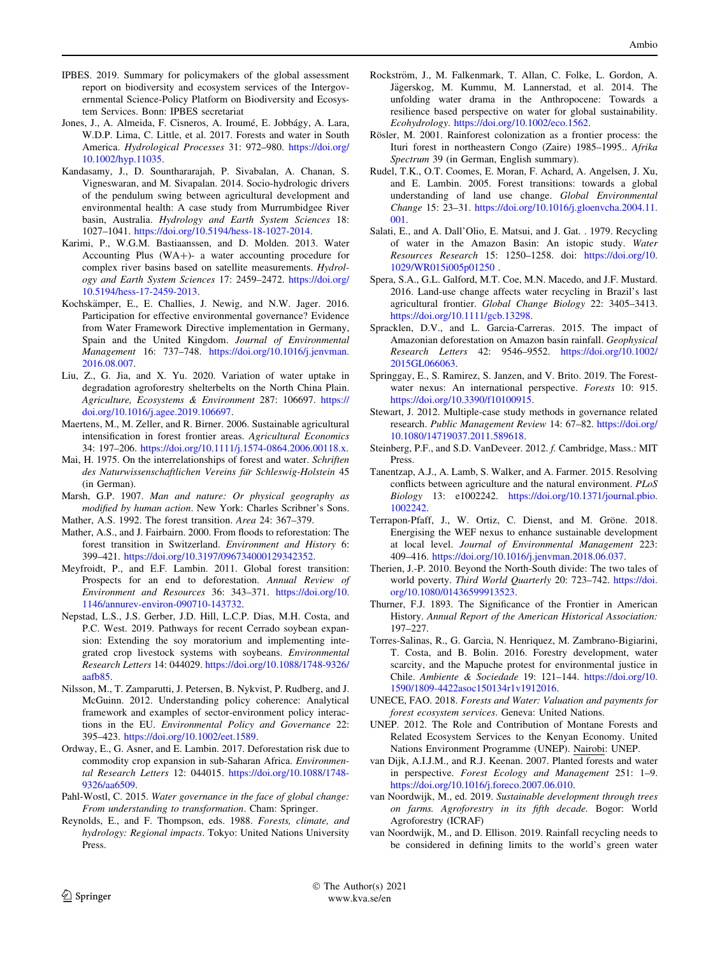- <span id="page-9-0"></span>IPBES. 2019. Summary for policymakers of the global assessment report on biodiversity and ecosystem services of the Intergovernmental Science-Policy Platform on Biodiversity and Ecosystem Services. Bonn: IPBES secretariat
- Jones, J., A. Almeida, F. Cisneros, A. Iroumé, E. Jobbágy, A. Lara, W.D.P. Lima, C. Little, et al. 2017. Forests and water in South America. Hydrological Processes 31: 972–980. [https://doi.org/](https://doi.org/10.1002/hyp.11035) [10.1002/hyp.11035.](https://doi.org/10.1002/hyp.11035)
- Kandasamy, J., D. Sounthararajah, P. Sivabalan, A. Chanan, S. Vigneswaran, and M. Sivapalan. 2014. Socio-hydrologic drivers of the pendulum swing between agricultural development and environmental health: A case study from Murrumbidgee River basin, Australia. Hydrology and Earth System Sciences 18: 1027–1041. [https://doi.org/10.5194/hess-18-1027-2014.](https://doi.org/10.5194/hess-18-1027-2014)
- Karimi, P., W.G.M. Bastiaanssen, and D. Molden. 2013. Water Accounting Plus  $(WA+)$ - a water accounting procedure for complex river basins based on satellite measurements. Hydrology and Earth System Sciences 17: 2459–2472. [https://doi.org/](https://doi.org/10.5194/hess-17-2459-2013) [10.5194/hess-17-2459-2013](https://doi.org/10.5194/hess-17-2459-2013).
- Kochskämper, E., E. Challies, J. Newig, and N.W. Jager. 2016. Participation for effective environmental governance? Evidence from Water Framework Directive implementation in Germany, Spain and the United Kingdom. Journal of Environmental Management 16: 737–748. [https://doi.org/10.1016/j.jenvman.](https://doi.org/10.1016/j.jenvman.2016.08.007) [2016.08.007](https://doi.org/10.1016/j.jenvman.2016.08.007).
- Liu, Z., G. Jia, and X. Yu. 2020. Variation of water uptake in degradation agroforestry shelterbelts on the North China Plain. Agriculture, Ecosystems & Environment 287: 106697. [https://](https://doi.org/10.1016/j.agee.2019.106697) [doi.org/10.1016/j.agee.2019.106697](https://doi.org/10.1016/j.agee.2019.106697).
- Maertens, M., M. Zeller, and R. Birner. 2006. Sustainable agricultural intensification in forest frontier areas. Agricultural Economics 34: 197–206. <https://doi.org/10.1111/j.1574-0864.2006.00118.x>.
- Mai, H. 1975. On the interrelationships of forest and water. Schriften des Naturwissenschaftlichen Vereins für Schleswig-Holstein 45 (in German).
- Marsh, G.P. 1907. Man and nature: Or physical geography as modified by human action. New York: Charles Scribner's Sons. Mather, A.S. 1992. The forest transition. Area 24: 367–379.
- Mather, A.S., and J. Fairbairn. 2000. From floods to reforestation: The forest transition in Switzerland. Environment and History 6:
- 399–421. <https://doi.org/10.3197/096734000129342352>. Meyfroidt, P., and E.F. Lambin. 2011. Global forest transition: Prospects for an end to deforestation. Annual Review of
- Environment and Resources 36: 343–371. [https://doi.org/10.](https://doi.org/10.1146/annurev-environ-090710-143732) [1146/annurev-environ-090710-143732.](https://doi.org/10.1146/annurev-environ-090710-143732)
- Nepstad, L.S., J.S. Gerber, J.D. Hill, L.C.P. Dias, M.H. Costa, and P.C. West. 2019. Pathways for recent Cerrado soybean expansion: Extending the soy moratorium and implementing integrated crop livestock systems with soybeans. Environmental Research Letters 14: 044029. [https://doi.org/10.1088/1748-9326/](https://doi.org/10.1088/1748-9326/aafb85) [aafb85](https://doi.org/10.1088/1748-9326/aafb85).
- Nilsson, M., T. Zamparutti, J. Petersen, B. Nykvist, P. Rudberg, and J. McGuinn. 2012. Understanding policy coherence: Analytical framework and examples of sector-environment policy interactions in the EU. Environmental Policy and Governance 22: 395–423. [https://doi.org/10.1002/eet.1589.](https://doi.org/10.1002/eet.1589)
- Ordway, E., G. Asner, and E. Lambin. 2017. Deforestation risk due to commodity crop expansion in sub-Saharan Africa. Environmental Research Letters 12: 044015. [https://doi.org/10.1088/1748-](https://doi.org/10.1088/1748-9326/aa6509) [9326/aa6509.](https://doi.org/10.1088/1748-9326/aa6509)
- Pahl-Wostl, C. 2015. Water governance in the face of global change: From understanding to transformation. Cham: Springer.
- Reynolds, E., and F. Thompson, eds. 1988. Forests, climate, and hydrology: Regional impacts. Tokyo: United Nations University Press.
- Rockström, J., M. Falkenmark, T. Allan, C. Folke, L. Gordon, A. Jägerskog, M. Kummu, M. Lannerstad, et al. 2014. The unfolding water drama in the Anthropocene: Towards a resilience based perspective on water for global sustainability. Ecohydrology. [https://doi.org/10.1002/eco.1562.](https://doi.org/10.1002/eco.1562)
- Rösler, M. 2001. Rainforest colonization as a frontier process: the Ituri forest in northeastern Congo (Zaire) 1985–1995.. Afrika Spectrum 39 (in German, English summary).
- Rudel, T.K., O.T. Coomes, E. Moran, F. Achard, A. Angelsen, J. Xu, and E. Lambin. 2005. Forest transitions: towards a global understanding of land use change. Global Environmental Change 15: 23–31. [https://doi.org/10.1016/j.gloenvcha.2004.11.](https://doi.org/10.1016/j.gloenvcha.2004.11.001) [001.](https://doi.org/10.1016/j.gloenvcha.2004.11.001)
- Salati, E., and A. Dall'Olio, E. Matsui, and J. Gat. . 1979. Recycling of water in the Amazon Basin: An istopic study. Water Resources Research 15: 1250–1258. doi: [https://doi.org/10.](https://doi.org/10.1029/WR015i005p01250) [1029/WR015i005p01250](https://doi.org/10.1029/WR015i005p01250) .
- Spera, S.A., G.L. Galford, M.T. Coe, M.N. Macedo, and J.F. Mustard. 2016. Land-use change affects water recycling in Brazil's last agricultural frontier. Global Change Biology 22: 3405–3413. [https://doi.org/10.1111/gcb.13298.](https://doi.org/10.1111/gcb.13298)
- Spracklen, D.V., and L. Garcia-Carreras. 2015. The impact of Amazonian deforestation on Amazon basin rainfall. Geophysical Research Letters 42: 9546–9552. [https://doi.org/10.1002/](https://doi.org/10.1002/2015GL066063) [2015GL066063.](https://doi.org/10.1002/2015GL066063)
- Springgay, E., S. Ramirez, S. Janzen, and V. Brito. 2019. The Forestwater nexus: An international perspective. Forests 10: 915. <https://doi.org/10.3390/f10100915>.
- Stewart, J. 2012. Multiple-case study methods in governance related research. Public Management Review 14: 67–82. [https://doi.org/](https://doi.org/10.1080/14719037.2011.589618) [10.1080/14719037.2011.589618.](https://doi.org/10.1080/14719037.2011.589618)
- Steinberg, P.F., and S.D. VanDeveer. 2012. f. Cambridge, Mass.: MIT Press.
- Tanentzap, A.J., A. Lamb, S. Walker, and A. Farmer. 2015. Resolving conflicts between agriculture and the natural environment. PLoS Biology 13: e1002242. [https://doi.org/10.1371/journal.pbio.](https://doi.org/10.1371/journal.pbio.1002242) [1002242.](https://doi.org/10.1371/journal.pbio.1002242)
- Terrapon-Pfaff, J., W. Ortiz, C. Dienst, and M. Gröne. 2018. Energising the WEF nexus to enhance sustainable development at local level. Journal of Environmental Management 223: 409–416. <https://doi.org/10.1016/j.jenvman.2018.06.037>.
- Therien, J.-P. 2010. Beyond the North-South divide: The two tales of world poverty. Third World Quarterly 20: 723–742. [https://doi.](https://doi.org/10.1080/01436599913523) [org/10.1080/01436599913523](https://doi.org/10.1080/01436599913523).
- Thurner, F.J. 1893. The Significance of the Frontier in American History. Annual Report of the American Historical Association: 197–227.
- Torres-Salinas, R., G. Garcia, N. Henriquez, M. Zambrano-Bigiarini, T. Costa, and B. Bolin. 2016. Forestry development, water scarcity, and the Mapuche protest for environmental justice in Chile. Ambiente & Sociedade 19: 121–144. [https://doi.org/10.](https://doi.org/10.1590/1809-4422asoc150134r1v1912016) [1590/1809-4422asoc150134r1v1912016.](https://doi.org/10.1590/1809-4422asoc150134r1v1912016)
- UNECE, FAO. 2018. Forests and Water: Valuation and payments for forest ecosystem services. Geneva: United Nations.
- UNEP. 2012. The Role and Contribution of Montane Forests and Related Ecosystem Services to the Kenyan Economy. United Nations Environment Programme (UNEP). Nairobi: UNEP.
- van Dijk, A.I.J.M., and R.J. Keenan. 2007. Planted forests and water in perspective. Forest Ecology and Management 251: 1–9. <https://doi.org/10.1016/j.foreco.2007.06.010>.
- van Noordwijk, M., ed. 2019. Sustainable development through trees on farms. Agroforestry in its fifth decade. Bogor: World Agroforestry (ICRAF)
- van Noordwijk, M., and D. Ellison. 2019. Rainfall recycling needs to be considered in defining limits to the world's green water